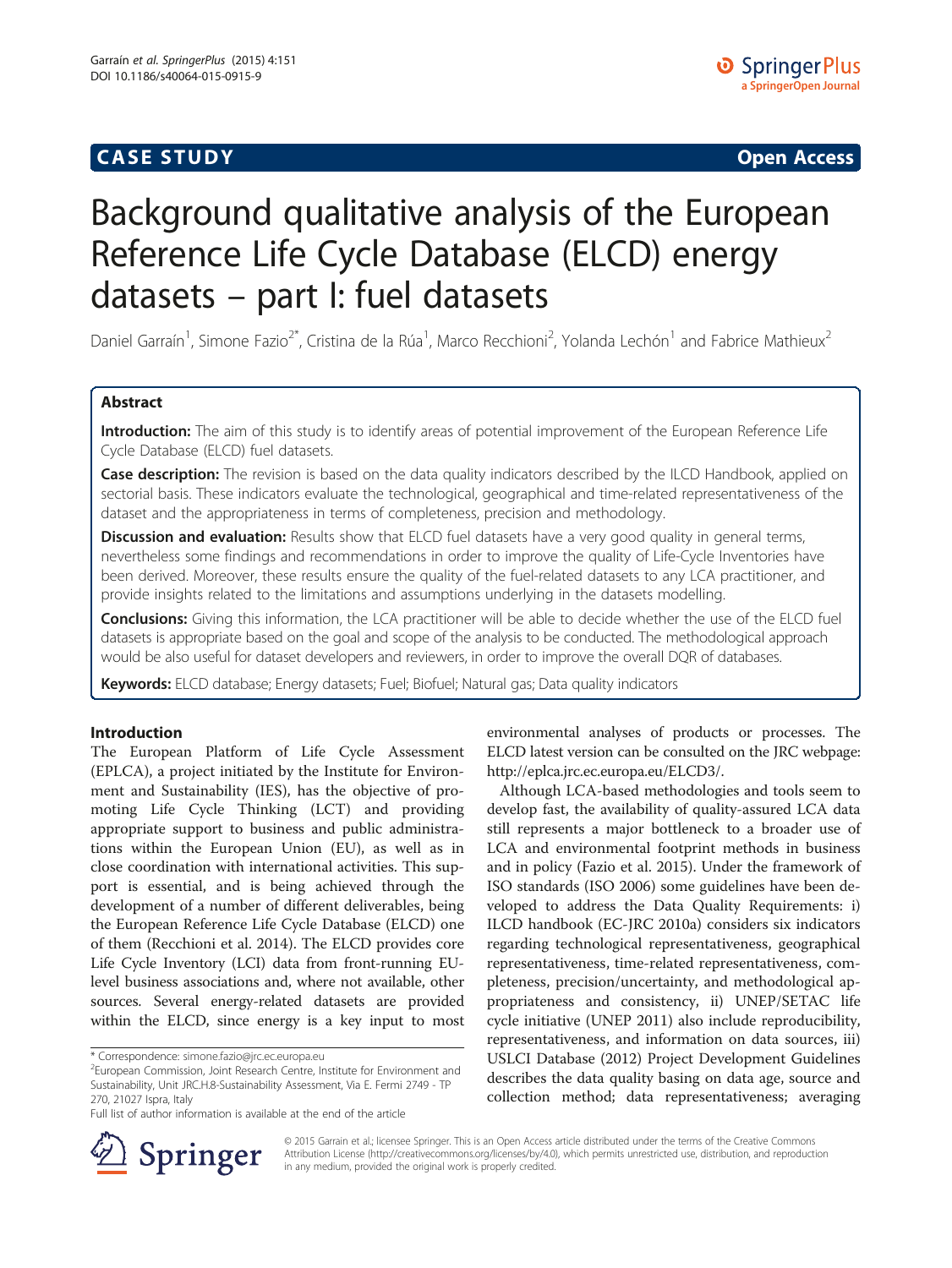# **CASE STUDY CASE STUDY Open Access**

# Background qualitative analysis of the European Reference Life Cycle Database (ELCD) energy datasets – part I: fuel datasets

Daniel Garraín<sup>1</sup>, Simone Fazio<sup>2\*</sup>, Cristina de la Rúa<sup>1</sup>, Marco Recchioni<sup>2</sup>, Yolanda Lechón<sup>1</sup> and Fabrice Mathieux<sup>2</sup>

# Abstract

Introduction: The aim of this study is to identify areas of potential improvement of the European Reference Life Cycle Database (ELCD) fuel datasets.

Case description: The revision is based on the data quality indicators described by the ILCD Handbook, applied on sectorial basis. These indicators evaluate the technological, geographical and time-related representativeness of the dataset and the appropriateness in terms of completeness, precision and methodology.

Discussion and evaluation: Results show that ELCD fuel datasets have a very good quality in general terms, nevertheless some findings and recommendations in order to improve the quality of Life-Cycle Inventories have been derived. Moreover, these results ensure the quality of the fuel-related datasets to any LCA practitioner, and provide insights related to the limitations and assumptions underlying in the datasets modelling.

Conclusions: Giving this information, the LCA practitioner will be able to decide whether the use of the ELCD fuel datasets is appropriate based on the goal and scope of the analysis to be conducted. The methodological approach would be also useful for dataset developers and reviewers, in order to improve the overall DQR of databases.

Keywords: ELCD database; Energy datasets; Fuel; Biofuel; Natural gas; Data quality indicators

## Introduction

The European Platform of Life Cycle Assessment (EPLCA), a project initiated by the Institute for Environment and Sustainability (IES), has the objective of promoting Life Cycle Thinking (LCT) and providing appropriate support to business and public administrations within the European Union (EU), as well as in close coordination with international activities. This support is essential, and is being achieved through the development of a number of different deliverables, being the European Reference Life Cycle Database (ELCD) one of them (Recchioni et al. [2014](#page-9-0)). The ELCD provides core Life Cycle Inventory (LCI) data from front-running EUlevel business associations and, where not available, other sources. Several energy-related datasets are provided within the ELCD, since energy is a key input to most



Although LCA-based methodologies and tools seem to develop fast, the availability of quality-assured LCA data still represents a major bottleneck to a broader use of LCA and environmental footprint methods in business and in policy (Fazio et al. [2015\)](#page-9-0). Under the framework of ISO standards (ISO [2006](#page-9-0)) some guidelines have been developed to address the Data Quality Requirements: i) ILCD handbook (EC-JRC [2010a](#page-9-0)) considers six indicators regarding technological representativeness, geographical representativeness, time-related representativeness, completeness, precision/uncertainty, and methodological appropriateness and consistency, ii) UNEP/SETAC life cycle initiative (UNEP [2011](#page-9-0)) also include reproducibility, representativeness, and information on data sources, iii) USLCI Database ([2012\)](#page-9-0) Project Development Guidelines describes the data quality basing on data age, source and collection method; data representativeness; averaging



© 2015 Garrain et al.; licensee Springer. This is an Open Access article distributed under the terms of the Creative Commons Attribution License [\(http://creativecommons.org/licenses/by/4.0\)](http://creativecommons.org/licenses/by/4.0), which permits unrestricted use, distribution, and reproduction in any medium, provided the original work is properly credited.

<sup>\*</sup> Correspondence: [simone.fazio@jrc.ec.europa.eu](mailto:simone.fazio@jrc.ec.europa.eu) <sup>2</sup>

<sup>&</sup>lt;sup>2</sup>European Commission, Joint Research Centre, Institute for Environment and Sustainability, Unit JRC.H.8-Sustainability Assessment, Via E. Fermi 2749 - TP 270, 21027 Ispra, Italy

Full list of author information is available at the end of the article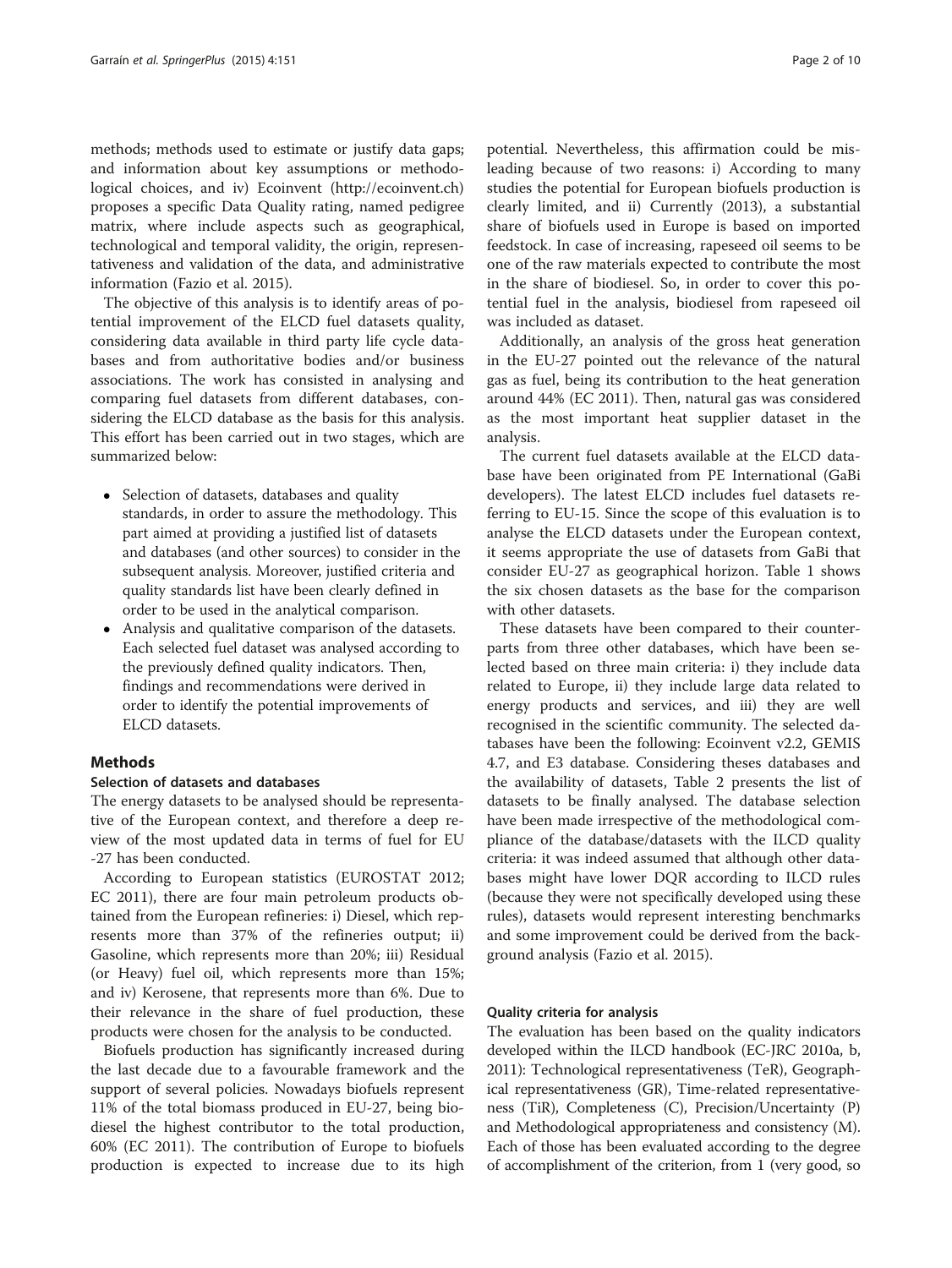methods; methods used to estimate or justify data gaps; and information about key assumptions or methodological choices, and iv) Ecoinvent ([http://ecoinvent.ch](http://ecoinvent.ch/)) proposes a specific Data Quality rating, named pedigree matrix, where include aspects such as geographical, technological and temporal validity, the origin, representativeness and validation of the data, and administrative information (Fazio et al. [2015\)](#page-9-0).

The objective of this analysis is to identify areas of potential improvement of the ELCD fuel datasets quality, considering data available in third party life cycle databases and from authoritative bodies and/or business associations. The work has consisted in analysing and comparing fuel datasets from different databases, considering the ELCD database as the basis for this analysis. This effort has been carried out in two stages, which are summarized below:

- Selection of datasets, databases and quality standards, in order to assure the methodology. This part aimed at providing a justified list of datasets and databases (and other sources) to consider in the subsequent analysis. Moreover, justified criteria and quality standards list have been clearly defined in order to be used in the analytical comparison.
- Analysis and qualitative comparison of the datasets. Each selected fuel dataset was analysed according to the previously defined quality indicators. Then, findings and recommendations were derived in order to identify the potential improvements of ELCD datasets.

## **Methods**

### Selection of datasets and databases

The energy datasets to be analysed should be representative of the European context, and therefore a deep review of the most updated data in terms of fuel for EU -27 has been conducted.

According to European statistics (EUROSTAT [2012](#page-9-0); EC [2011\)](#page-9-0), there are four main petroleum products obtained from the European refineries: i) Diesel, which represents more than 37% of the refineries output; ii) Gasoline, which represents more than 20%; iii) Residual (or Heavy) fuel oil, which represents more than 15%; and iv) Kerosene, that represents more than 6%. Due to their relevance in the share of fuel production, these products were chosen for the analysis to be conducted.

Biofuels production has significantly increased during the last decade due to a favourable framework and the support of several policies. Nowadays biofuels represent 11% of the total biomass produced in EU-27, being biodiesel the highest contributor to the total production, 60% (EC [2011](#page-9-0)). The contribution of Europe to biofuels production is expected to increase due to its high

potential. Nevertheless, this affirmation could be misleading because of two reasons: i) According to many studies the potential for European biofuels production is clearly limited, and ii) Currently (2013), a substantial share of biofuels used in Europe is based on imported feedstock. In case of increasing, rapeseed oil seems to be one of the raw materials expected to contribute the most in the share of biodiesel. So, in order to cover this potential fuel in the analysis, biodiesel from rapeseed oil was included as dataset.

Additionally, an analysis of the gross heat generation in the EU-27 pointed out the relevance of the natural gas as fuel, being its contribution to the heat generation around 44% (EC [2011](#page-9-0)). Then, natural gas was considered as the most important heat supplier dataset in the analysis.

The current fuel datasets available at the ELCD database have been originated from PE International (GaBi developers). The latest ELCD includes fuel datasets referring to EU-15. Since the scope of this evaluation is to analyse the ELCD datasets under the European context, it seems appropriate the use of datasets from GaBi that consider EU-27 as geographical horizon. Table [1](#page-2-0) shows the six chosen datasets as the base for the comparison with other datasets.

These datasets have been compared to their counterparts from three other databases, which have been selected based on three main criteria: i) they include data related to Europe, ii) they include large data related to energy products and services, and iii) they are well recognised in the scientific community. The selected databases have been the following: Ecoinvent v2.2, GEMIS 4.7, and E3 database. Considering theses databases and the availability of datasets, Table [2](#page-2-0) presents the list of datasets to be finally analysed. The database selection have been made irrespective of the methodological compliance of the database/datasets with the ILCD quality criteria: it was indeed assumed that although other databases might have lower DQR according to ILCD rules (because they were not specifically developed using these rules), datasets would represent interesting benchmarks and some improvement could be derived from the background analysis (Fazio et al. [2015\)](#page-9-0).

## Quality criteria for analysis

The evaluation has been based on the quality indicators developed within the ILCD handbook (EC-JRC [2010a](#page-9-0), [b](#page-9-0), [2011](#page-9-0)): Technological representativeness (TeR), Geographical representativeness (GR), Time-related representativeness (TiR), Completeness (C), Precision/Uncertainty (P) and Methodological appropriateness and consistency (M). Each of those has been evaluated according to the degree of accomplishment of the criterion, from 1 (very good, so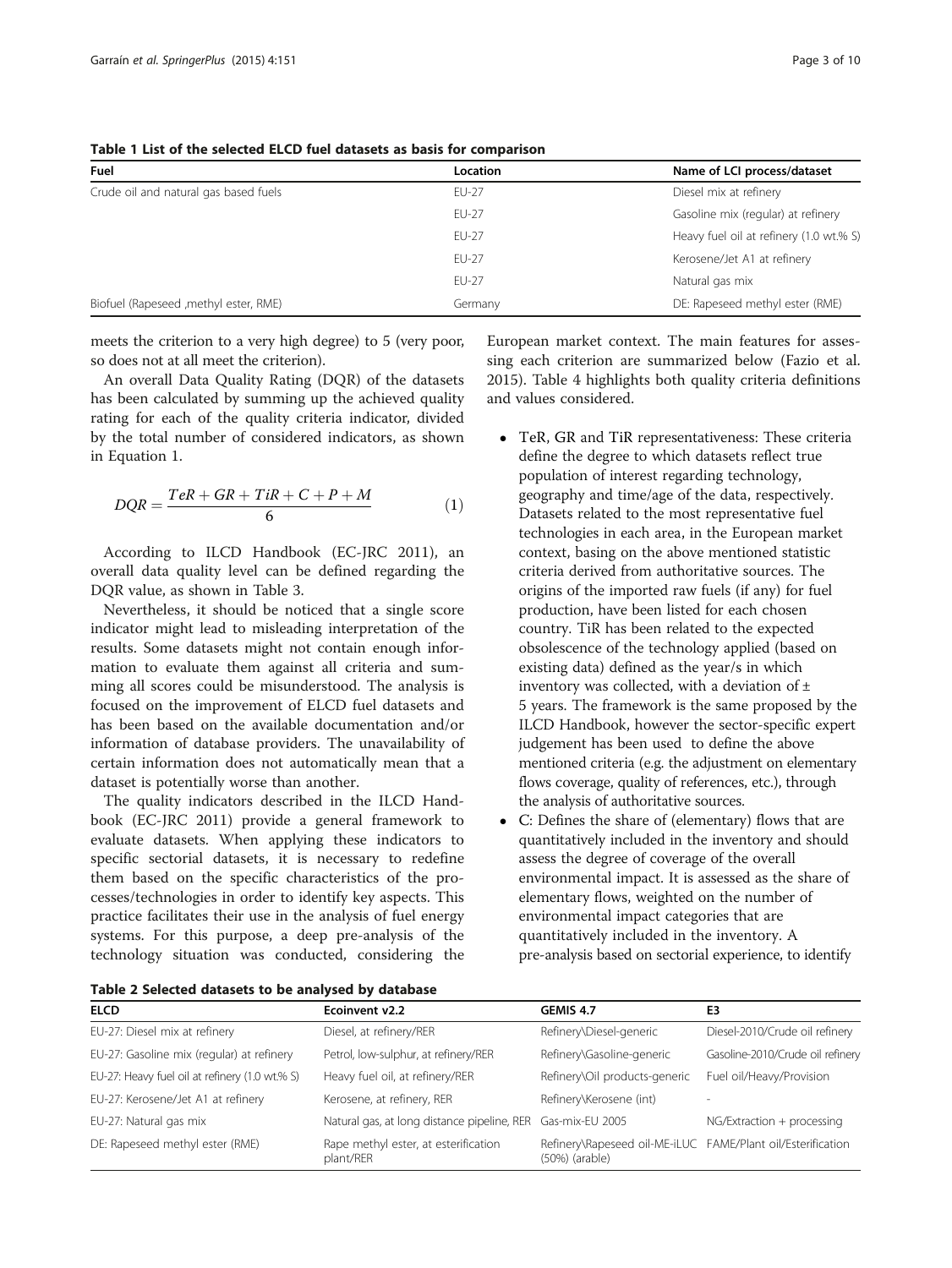<span id="page-2-0"></span>Table 1 List of the selected ELCD fuel datasets as basis for comparison

| Fuel                                   | Location     | Name of LCI process/dataset             |
|----------------------------------------|--------------|-----------------------------------------|
| Crude oil and natural gas based fuels  | EU-27        | Diesel mix at refinery                  |
|                                        | EU-27        | Gasoline mix (regular) at refinery      |
|                                        | EU-27        | Heavy fuel oil at refinery (1.0 wt.% S) |
|                                        | <b>EU-27</b> | Kerosene/Jet A1 at refinery             |
|                                        | FU-27        | Natural gas mix                         |
| Biofuel (Rapeseed , methyl ester, RME) | Germany      | DE: Rapeseed methyl ester (RME)         |

meets the criterion to a very high degree) to 5 (very poor, so does not at all meet the criterion).

An overall Data Quality Rating (DQR) of the datasets has been calculated by summing up the achieved quality rating for each of the quality criteria indicator, divided by the total number of considered indicators, as shown in Equation 1.

$$
DQR = \frac{TeR + GR + T iR + C + P + M}{6} \tag{1}
$$

According to ILCD Handbook (EC-JRC [2011\)](#page-9-0), an overall data quality level can be defined regarding the DQR value, as shown in Table [3](#page-3-0).

Nevertheless, it should be noticed that a single score indicator might lead to misleading interpretation of the results. Some datasets might not contain enough information to evaluate them against all criteria and summing all scores could be misunderstood. The analysis is focused on the improvement of ELCD fuel datasets and has been based on the available documentation and/or information of database providers. The unavailability of certain information does not automatically mean that a dataset is potentially worse than another.

The quality indicators described in the ILCD Handbook (EC-JRC [2011\)](#page-9-0) provide a general framework to evaluate datasets. When applying these indicators to specific sectorial datasets, it is necessary to redefine them based on the specific characteristics of the processes/technologies in order to identify key aspects. This practice facilitates their use in the analysis of fuel energy systems. For this purpose, a deep pre-analysis of the technology situation was conducted, considering the European market context. The main features for assessing each criterion are summarized below (Fazio et al. [2015](#page-9-0)). Table [4](#page-3-0) highlights both quality criteria definitions and values considered.

- TeR, GR and TiR representativeness: These criteria define the degree to which datasets reflect true population of interest regarding technology, geography and time/age of the data, respectively. Datasets related to the most representative fuel technologies in each area, in the European market context, basing on the above mentioned statistic criteria derived from authoritative sources. The origins of the imported raw fuels (if any) for fuel production, have been listed for each chosen country. TiR has been related to the expected obsolescence of the technology applied (based on existing data) defined as the year/s in which inventory was collected, with a deviation of  $\pm$ 5 years. The framework is the same proposed by the ILCD Handbook, however the sector-specific expert judgement has been used to define the above mentioned criteria (e.g. the adjustment on elementary flows coverage, quality of references, etc.), through the analysis of authoritative sources.
- C: Defines the share of (elementary) flows that are quantitatively included in the inventory and should assess the degree of coverage of the overall environmental impact. It is assessed as the share of elementary flows, weighted on the number of environmental impact categories that are quantitatively included in the inventory. A pre-analysis based on sectorial experience, to identify

ELCD Ecoinvent v2.2 GEMIS 4.7 E3 EU-27: Diesel mix at refinery **Diesel, at refinery/RER** Refinery\Diesel-generic Diesel-2010/Crude oil refinery EU-27: Gasoline mix (regular) at refinery Petrol, low-sulphur, at refinery/RER Refinery\Gasoline-generic Gasoline-2010/Crude oil refinery EU-27: Heavy fuel oil at refinery (1.0 wt.% S) Heavy fuel oil, at refinery/RER Refinery\Oil products-generic Fuel oil/Heavy/Provision EU-27: Kerosene/Jet A1 at refinery Kerosene, at refinery, RER Refinery\Kerosene (int) EU-27: Natural gas mix Natural gas, at long distance pipeline, RER Gas-mix-EU 2005 NG/Extraction + processing DE: Rapeseed methyl ester (RME) Rape methyl ester, at esterification plant/RER Refinery\Rapeseed oil-ME-iLUC FAME/Plant oil/Esterification (50%) (arable)

Table 2 Selected datasets to be analysed by database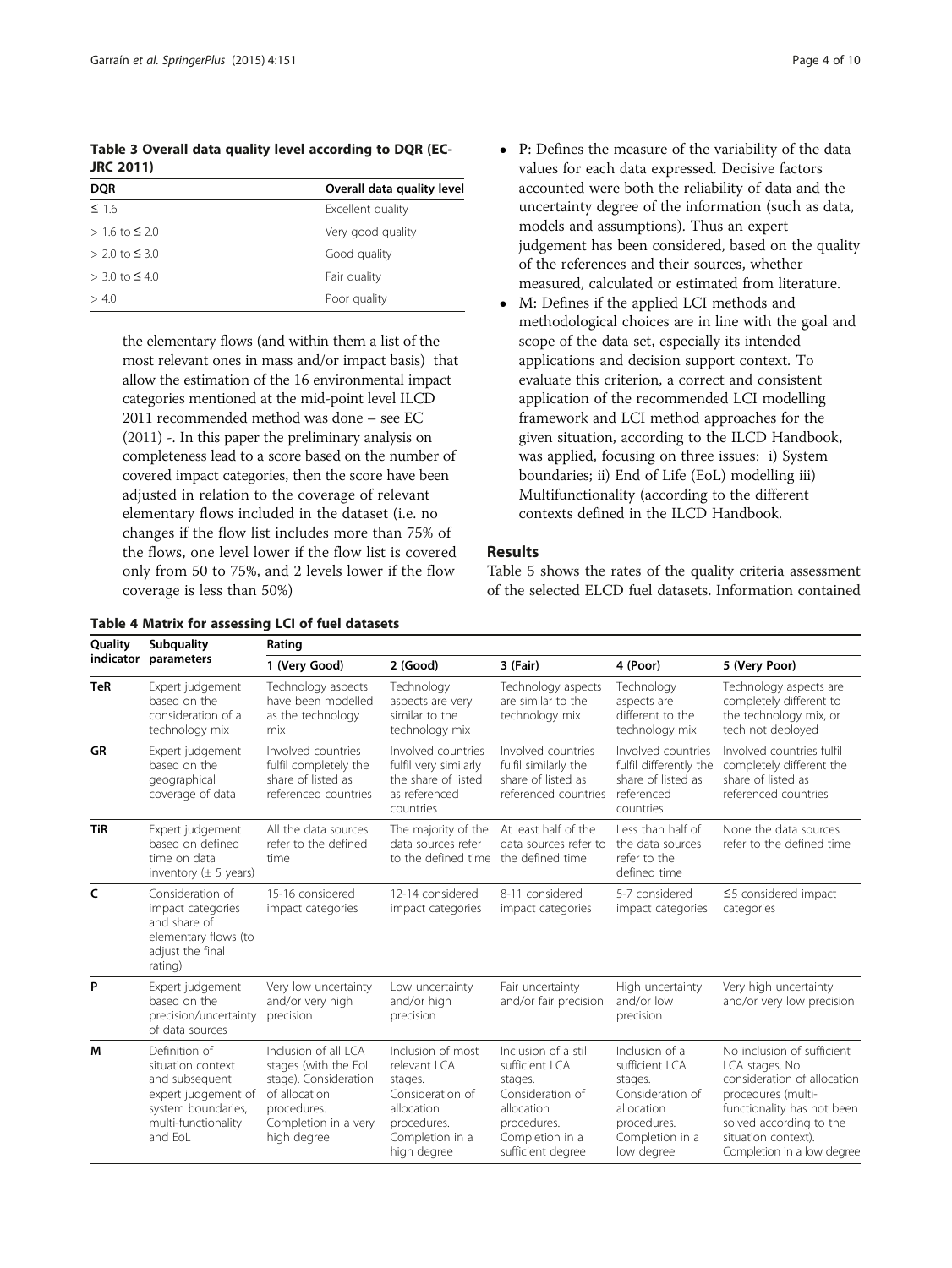<span id="page-3-0"></span>Table 3 Overall data quality level according to DQR (EC-JRC [2011](#page-9-0))

| <b>DQR</b>       | Overall data quality level |
|------------------|----------------------------|
| $\leq 1.6$       | Excellent quality          |
| > 1.6 to ≤ 2.0   | Very good quality          |
| > 2.0 to ≤ 3.0   | Good quality               |
| > 3.0 to $≤$ 4.0 | Fair quality               |
| > 4.0            | Poor quality               |

the elementary flows (and within them a list of the most relevant ones in mass and/or impact basis) that allow the estimation of the 16 environmental impact categories mentioned at the mid-point level ILCD 2011 recommended method was done – see EC ([2011\)](#page-9-0) -. In this paper the preliminary analysis on completeness lead to a score based on the number of covered impact categories, then the score have been adjusted in relation to the coverage of relevant elementary flows included in the dataset (i.e. no changes if the flow list includes more than 75% of the flows, one level lower if the flow list is covered only from 50 to 75%, and 2 levels lower if the flow coverage is less than 50%)

Table 4 Matrix for assessing LCI of fuel datasets

- P: Defines the measure of the variability of the data values for each data expressed. Decisive factors accounted were both the reliability of data and the uncertainty degree of the information (such as data, models and assumptions). Thus an expert judgement has been considered, based on the quality of the references and their sources, whether measured, calculated or estimated from literature.
- M: Defines if the applied LCI methods and methodological choices are in line with the goal and scope of the data set, especially its intended applications and decision support context. To evaluate this criterion, a correct and consistent application of the recommended LCI modelling framework and LCI method approaches for the given situation, according to the ILCD Handbook, was applied, focusing on three issues: i) System boundaries; ii) End of Life (EoL) modelling iii) Multifunctionality (according to the different contexts defined in the ILCD Handbook.

## Results

Table [5](#page-4-0) shows the rates of the quality criteria assessment of the selected ELCD fuel datasets. Information contained

| Quality    | <b>Subquality</b>                                                                                                                   | Rating                                                                                                                                       |                                                                                                                                 |                                                                                                                                            |                                                                                                                               |                                                                                                                                                                                                                 |  |  |  |  |  |
|------------|-------------------------------------------------------------------------------------------------------------------------------------|----------------------------------------------------------------------------------------------------------------------------------------------|---------------------------------------------------------------------------------------------------------------------------------|--------------------------------------------------------------------------------------------------------------------------------------------|-------------------------------------------------------------------------------------------------------------------------------|-----------------------------------------------------------------------------------------------------------------------------------------------------------------------------------------------------------------|--|--|--|--|--|
| indicator  | parameters                                                                                                                          | 1 (Very Good)                                                                                                                                | 2 (Good)                                                                                                                        | 3 (Fair)                                                                                                                                   | 4 (Poor)                                                                                                                      | 5 (Very Poor)                                                                                                                                                                                                   |  |  |  |  |  |
| <b>TeR</b> | Expert judgement<br>based on the<br>consideration of a<br>technology mix                                                            | Technology aspects<br>have been modelled<br>as the technology<br>mix                                                                         | Technology<br>aspects are very<br>similar to the<br>technology mix                                                              | Technology aspects<br>are similar to the<br>technology mix                                                                                 | Technology<br>aspects are<br>different to the<br>technology mix                                                               | Technology aspects are<br>completely different to<br>the technology mix, or<br>tech not deployed                                                                                                                |  |  |  |  |  |
| <b>GR</b>  | Expert judgement<br>based on the<br>geographical<br>coverage of data                                                                | Involved countries<br>fulfil completely the<br>share of listed as<br>referenced countries                                                    | Involved countries<br>fulfil very similarly<br>the share of listed<br>as referenced<br>countries                                | Involved countries<br>fulfil similarly the<br>share of listed as<br>referenced countries                                                   | Involved countries<br>fulfil differently the<br>share of listed as<br>referenced<br>countries                                 | Involved countries fulfil<br>completely different the<br>share of listed as<br>referenced countries                                                                                                             |  |  |  |  |  |
| <b>TiR</b> | Expert judgement<br>based on defined<br>time on data<br>inventory $(\pm 5 \text{ years})$                                           | All the data sources<br>refer to the defined<br>time                                                                                         | The majority of the<br>data sources refer<br>to the defined time                                                                | At least half of the<br>data sources refer to<br>the defined time                                                                          | Less than half of<br>the data sources<br>refer to the<br>defined time                                                         | None the data sources<br>refer to the defined time                                                                                                                                                              |  |  |  |  |  |
| c          | Consideration of<br>impact categories<br>and share of<br>elementary flows (to<br>adjust the final<br>rating)                        | 15-16 considered<br>impact categories                                                                                                        | 12-14 considered<br>impact categories                                                                                           | 8-11 considered<br>impact categories                                                                                                       | 5-7 considered<br>impact categories                                                                                           | $\leq$ 5 considered impact<br>categories                                                                                                                                                                        |  |  |  |  |  |
| P          | Expert judgement<br>based on the<br>precision/uncertainty<br>of data sources                                                        | Very low uncertainty<br>and/or very high<br>precision                                                                                        | Low uncertainty<br>and/or high<br>precision                                                                                     | Fair uncertainty<br>and/or fair precision                                                                                                  | High uncertainty<br>and/or low<br>precision                                                                                   | Very high uncertainty<br>and/or very low precision                                                                                                                                                              |  |  |  |  |  |
| M          | Definition of<br>situation context<br>and subsequent<br>expert judgement of<br>system boundaries,<br>multi-functionality<br>and EoL | Inclusion of all LCA<br>stages (with the EoL<br>stage). Consideration<br>of allocation<br>procedures.<br>Completion in a very<br>high degree | Inclusion of most<br>relevant LCA<br>stages.<br>Consideration of<br>allocation<br>procedures.<br>Completion in a<br>high degree | Inclusion of a still<br>sufficient LCA<br>stages.<br>Consideration of<br>allocation<br>procedures.<br>Completion in a<br>sufficient degree | Inclusion of a<br>sufficient LCA<br>stages.<br>Consideration of<br>allocation<br>procedures.<br>Completion in a<br>low degree | No inclusion of sufficient<br>LCA stages. No<br>consideration of allocation<br>procedures (multi-<br>functionality has not been<br>solved according to the<br>situation context).<br>Completion in a low degree |  |  |  |  |  |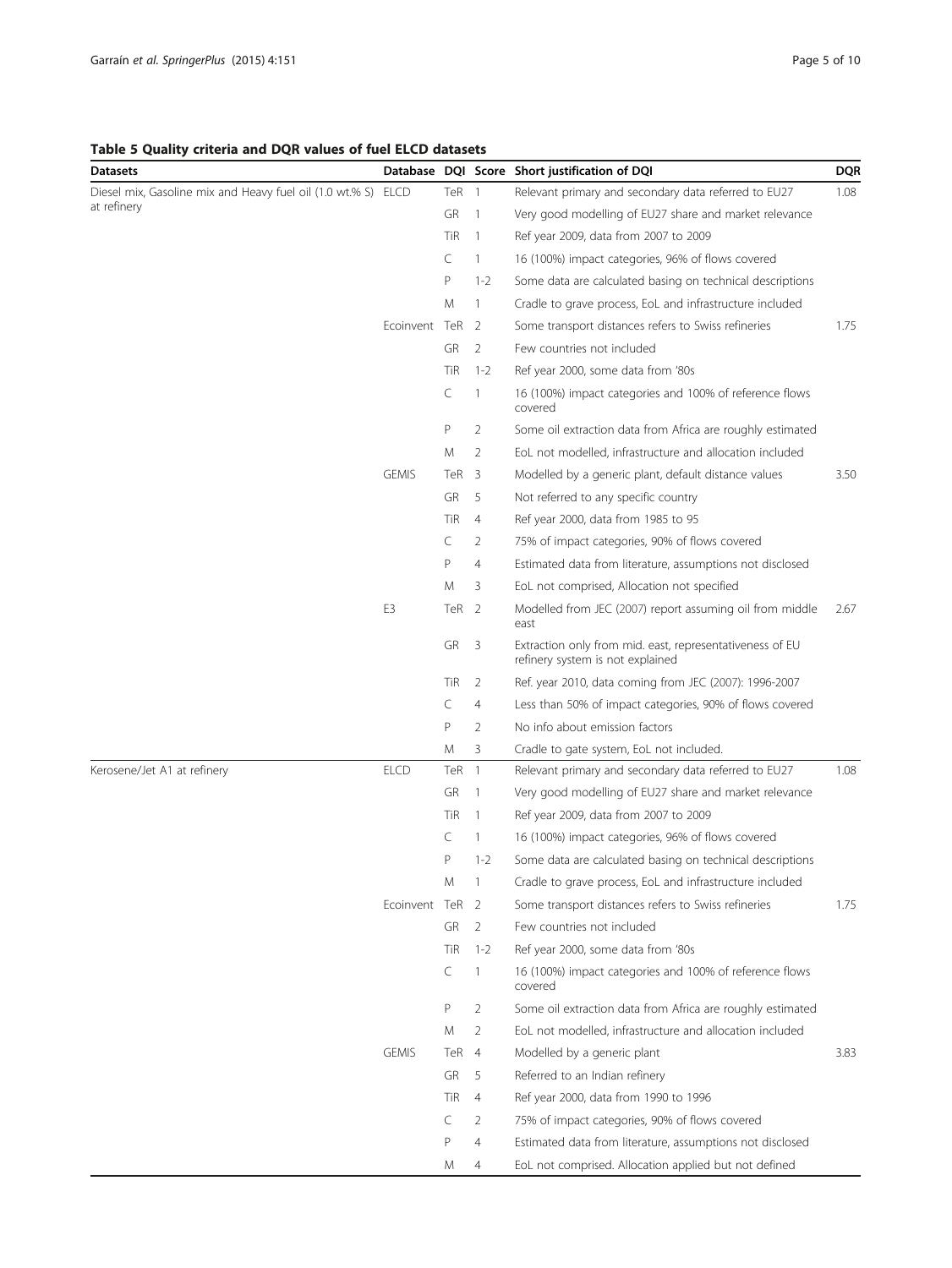<span id="page-4-0"></span>Table 5 Quality criteria and DQR values of fuel ELCD datasets

| <b>Datasets</b>                                          |                 |            |                         | Database DQI Score Short justification of DQI                                                | <b>DQR</b> |
|----------------------------------------------------------|-----------------|------------|-------------------------|----------------------------------------------------------------------------------------------|------------|
| Diesel mix, Gasoline mix and Heavy fuel oil (1.0 wt.% S) | ELCD            | TeR        | $\overline{1}$          | Relevant primary and secondary data referred to EU27                                         | 1.08       |
| at refinery                                              |                 | GR         | $\overline{1}$          | Very good modelling of EU27 share and market relevance                                       |            |
|                                                          |                 | TiR        | $\overline{1}$          | Ref year 2009, data from 2007 to 2009                                                        |            |
|                                                          |                 | C          | $\mathbf{1}$            | 16 (100%) impact categories, 96% of flows covered                                            |            |
|                                                          |                 | P          | $1 - 2$                 | Some data are calculated basing on technical descriptions                                    |            |
|                                                          |                 | M          | $\mathbf{1}$            | Cradle to grave process, EoL and infrastructure included                                     |            |
|                                                          | Ecoinvent TeR   |            | $\overline{2}$          | Some transport distances refers to Swiss refineries                                          | 1.75       |
|                                                          |                 | GR         | 2                       | Few countries not included                                                                   |            |
|                                                          |                 | TiR        | $1 - 2$                 | Ref year 2000, some data from '80s                                                           |            |
|                                                          |                 | C          | $\mathbf{1}$            | 16 (100%) impact categories and 100% of reference flows<br>covered                           |            |
|                                                          |                 | P          | 2                       | Some oil extraction data from Africa are roughly estimated                                   |            |
|                                                          |                 | M          | 2                       | EoL not modelled, infrastructure and allocation included                                     |            |
|                                                          | <b>GEMIS</b>    | TeR        | $\overline{\mathbf{3}}$ | Modelled by a generic plant, default distance values                                         | 3.50       |
|                                                          |                 | GR         | 5                       | Not referred to any specific country                                                         |            |
|                                                          |                 | TiR        | $\overline{4}$          | Ref year 2000, data from 1985 to 95                                                          |            |
|                                                          |                 | C          | 2                       | 75% of impact categories, 90% of flows covered                                               |            |
|                                                          |                 | P          | 4                       | Estimated data from literature, assumptions not disclosed                                    |            |
|                                                          |                 | M          | 3                       | EoL not comprised, Allocation not specified                                                  |            |
|                                                          | E3              | TeR        | $\overline{2}$          | Modelled from JEC (2007) report assuming oil from middle<br>east                             | 2.67       |
|                                                          |                 | GR         | 3                       | Extraction only from mid. east, representativeness of EU<br>refinery system is not explained |            |
|                                                          |                 | TiR        | 2                       | Ref. year 2010, data coming from JEC (2007): 1996-2007                                       |            |
|                                                          |                 | C          | $\overline{4}$          | Less than 50% of impact categories, 90% of flows covered                                     |            |
|                                                          |                 | P          | 2                       | No info about emission factors                                                               |            |
|                                                          |                 | M          | 3                       | Cradle to gate system, EoL not included.                                                     |            |
| Kerosene/Jet A1 at refinery                              | <b>ELCD</b>     | TeR        | $\overline{1}$          | Relevant primary and secondary data referred to EU27                                         | 1.08       |
|                                                          |                 | GR         | $\overline{1}$          | Very good modelling of EU27 share and market relevance                                       |            |
|                                                          |                 | <b>TiR</b> | $\overline{1}$          | Ref year 2009, data from 2007 to 2009                                                        |            |
|                                                          |                 | C          | $\mathbf{1}$            | 16 (100%) impact categories, 96% of flows covered                                            |            |
|                                                          |                 | P          | $1 - 2$                 | Some data are calculated basing on technical descriptions                                    |            |
|                                                          |                 | M          |                         | Cradle to grave process, EoL and infrastructure included                                     |            |
|                                                          | Ecoinvent TeR 2 |            |                         | Some transport distances refers to Swiss refineries                                          | 1.75       |
|                                                          |                 | GR         | 2                       | Few countries not included                                                                   |            |
|                                                          |                 | <b>TiR</b> | $1 - 2$                 | Ref year 2000, some data from '80s                                                           |            |
|                                                          |                 | C          | $\mathbf{1}$            | 16 (100%) impact categories and 100% of reference flows<br>covered                           |            |
|                                                          |                 | P          | 2                       | Some oil extraction data from Africa are roughly estimated                                   |            |
|                                                          |                 | M          | 2                       | EoL not modelled, infrastructure and allocation included                                     |            |
|                                                          | <b>GEMIS</b>    | TeR        | $\overline{4}$          | Modelled by a generic plant                                                                  | 3.83       |
|                                                          |                 | GR         | 5                       | Referred to an Indian refinery                                                               |            |
|                                                          |                 | TiR        | $\overline{4}$          | Ref year 2000, data from 1990 to 1996                                                        |            |
|                                                          |                 | C          | 2                       | 75% of impact categories, 90% of flows covered                                               |            |
|                                                          |                 | P          | 4                       | Estimated data from literature, assumptions not disclosed                                    |            |
|                                                          |                 | M          | 4                       | EoL not comprised. Allocation applied but not defined                                        |            |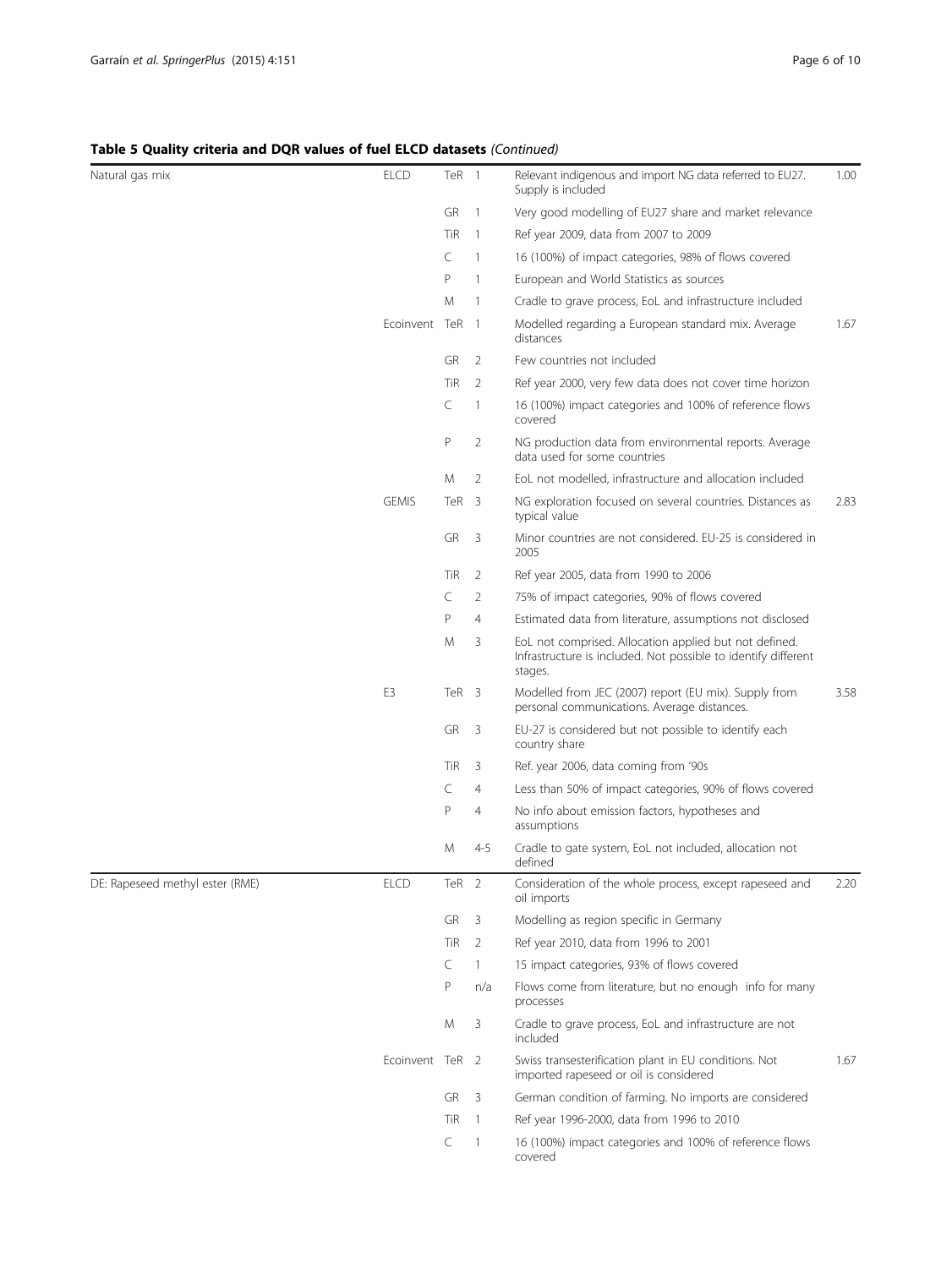# Table 5 Quality criteria and DQR values of fuel ELCD datasets (Continued)

| Natural gas mix                 | <b>ELCD</b>     | TeR <sub>1</sub> |                         | Relevant indigenous and import NG data referred to EU27.<br>Supply is included                                                      | 1.00 |
|---------------------------------|-----------------|------------------|-------------------------|-------------------------------------------------------------------------------------------------------------------------------------|------|
|                                 |                 | GR               | -1                      | Very good modelling of EU27 share and market relevance                                                                              |      |
|                                 |                 | TiR              | $\overline{1}$          | Ref year 2009, data from 2007 to 2009                                                                                               |      |
|                                 |                 | C                | $\mathbf{1}$            | 16 (100%) of impact categories, 98% of flows covered                                                                                |      |
|                                 |                 | $\mathsf{P}$     | 1                       | European and World Statistics as sources                                                                                            |      |
|                                 |                 | M                | $\mathbf{1}$            | Cradle to grave process, EoL and infrastructure included                                                                            |      |
|                                 | Ecoinvent TeR   |                  | $\overline{1}$          | Modelled regarding a European standard mix. Average<br>distances                                                                    | 1.67 |
|                                 |                 | GR               | 2                       | Few countries not included                                                                                                          |      |
|                                 |                 | TiR              | 2                       | Ref year 2000, very few data does not cover time horizon                                                                            |      |
|                                 |                 | C                | $\mathbf{1}$            | 16 (100%) impact categories and 100% of reference flows<br>covered                                                                  |      |
|                                 |                 | $\mathsf{P}$     | 2                       | NG production data from environmental reports. Average<br>data used for some countries                                              |      |
|                                 |                 | M                | 2                       | EoL not modelled, infrastructure and allocation included                                                                            |      |
|                                 | <b>GEMIS</b>    | TeR              | $\overline{\mathbf{3}}$ | NG exploration focused on several countries. Distances as<br>typical value                                                          | 2.83 |
|                                 |                 | GR               | 3                       | Minor countries are not considered. EU-25 is considered in<br>2005                                                                  |      |
|                                 |                 | TiR              | 2                       | Ref year 2005, data from 1990 to 2006                                                                                               |      |
|                                 |                 | C                | 2                       | 75% of impact categories, 90% of flows covered                                                                                      |      |
|                                 |                 | P                | 4                       | Estimated data from literature, assumptions not disclosed                                                                           |      |
|                                 |                 | M                | 3                       | EoL not comprised. Allocation applied but not defined.<br>Infrastructure is included. Not possible to identify different<br>stages. |      |
|                                 | E <sub>3</sub>  | TeR <sub>3</sub> |                         | Modelled from JEC (2007) report (EU mix). Supply from<br>personal communications. Average distances.                                | 3.58 |
|                                 |                 | GR               | 3                       | EU-27 is considered but not possible to identify each<br>country share                                                              |      |
|                                 |                 | TiR              | 3                       | Ref. year 2006, data coming from '90s                                                                                               |      |
|                                 |                 | C                | 4                       | Less than 50% of impact categories, 90% of flows covered                                                                            |      |
|                                 |                 | P                | 4                       | No info about emission factors, hypotheses and<br>assumptions                                                                       |      |
|                                 |                 | M                | 4-5                     | Cradle to gate system, EoL not included, allocation not<br>defined                                                                  |      |
| DE: Rapeseed methyl ester (RME) | <b>ELCD</b>     | TeR <sub>2</sub> |                         | Consideration of the whole process, except rapeseed and<br>oil imports                                                              | 2.20 |
|                                 |                 | GR               | 3                       | Modelling as region specific in Germany                                                                                             |      |
|                                 |                 | <b>TiR</b>       | 2                       | Ref year 2010, data from 1996 to 2001                                                                                               |      |
|                                 |                 | C                | $\mathbf{1}$            | 15 impact categories, 93% of flows covered                                                                                          |      |
|                                 |                 | $\mathsf{P}$     | n/a                     | Flows come from literature, but no enough info for many<br>processes                                                                |      |
|                                 |                 | M                | 3                       | Cradle to grave process, EoL and infrastructure are not<br>included                                                                 |      |
|                                 | Ecoinvent TeR 2 |                  |                         | Swiss transesterification plant in EU conditions. Not<br>imported rapeseed or oil is considered                                     | 1.67 |
|                                 |                 | GR               | 3                       | German condition of farming. No imports are considered                                                                              |      |
|                                 |                 | TiR              | $\overline{1}$          | Ref year 1996-2000, data from 1996 to 2010                                                                                          |      |
|                                 |                 | $\subset$        | $\mathbf{1}$            | 16 (100%) impact categories and 100% of reference flows<br>covered                                                                  |      |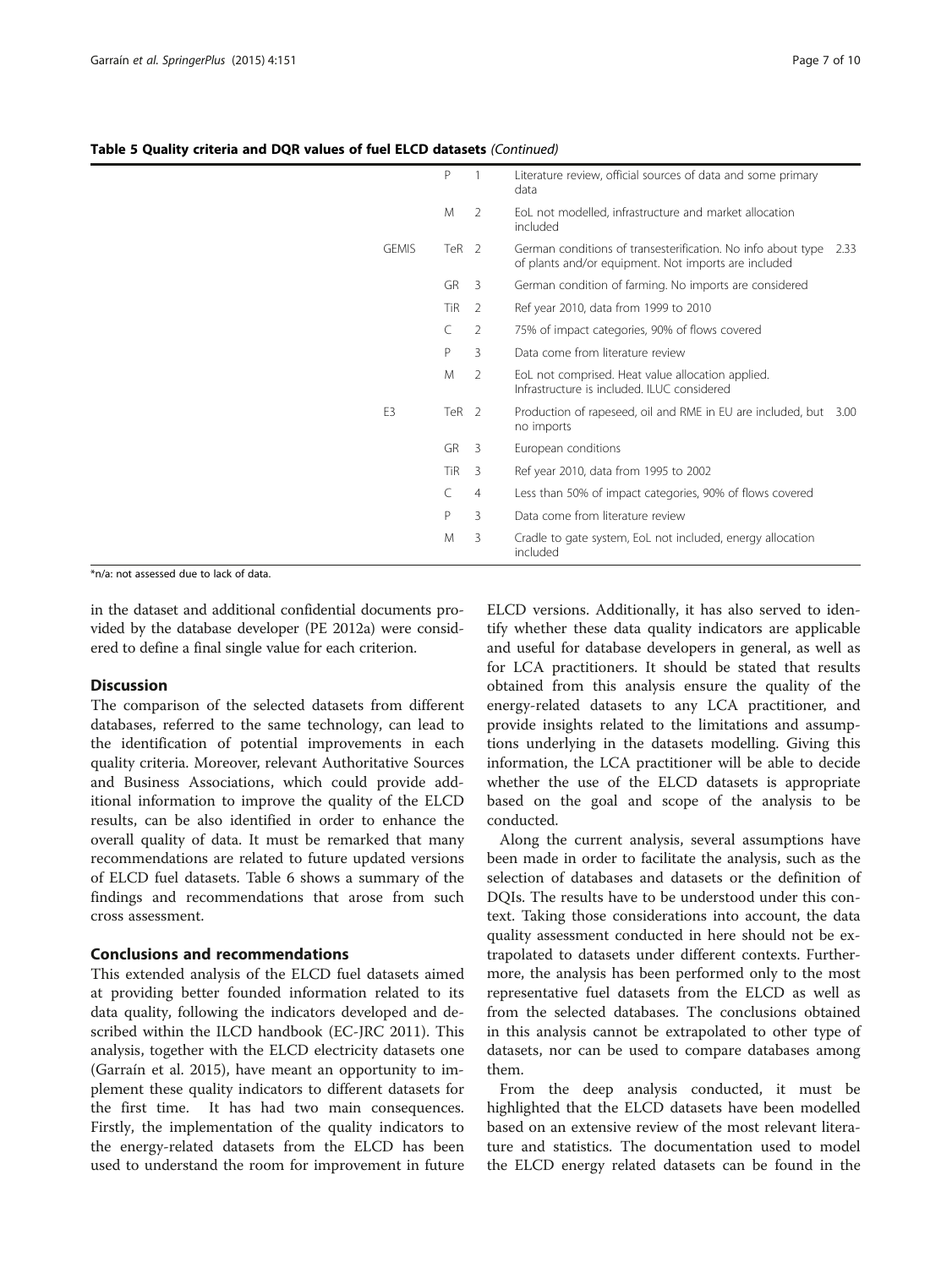| Table 5 Quality criteria and DQR values of fuel ELCD datasets (Continued) |  |  |  |  |  |
|---------------------------------------------------------------------------|--|--|--|--|--|
|---------------------------------------------------------------------------|--|--|--|--|--|

|                | P                |                | Literature review, official sources of data and some primary<br>data                                                 |      |
|----------------|------------------|----------------|----------------------------------------------------------------------------------------------------------------------|------|
|                | M                | 2              | EoL not modelled, infrastructure and market allocation<br>included                                                   |      |
| <b>GEMIS</b>   | TeR <sub>2</sub> |                | German conditions of transesterification. No info about type<br>of plants and/or equipment. Not imports are included | 2.33 |
|                | GR               | 3              | German condition of farming. No imports are considered                                                               |      |
|                | <b>TiR</b>       | $\mathcal{L}$  | Ref year 2010, data from 1999 to 2010                                                                                |      |
|                | C                | 2              | 75% of impact categories, 90% of flows covered                                                                       |      |
|                | P                | 3              | Data come from literature review                                                                                     |      |
|                | M                | 2              | EoL not comprised. Heat value allocation applied.<br>Infrastructure is included. If UC considered                    |      |
| E <sub>3</sub> | TeR              | $\overline{2}$ | Production of rapeseed, oil and RME in EU are included, but 3.00<br>no imports                                       |      |
|                | GR               | 3              | European conditions                                                                                                  |      |
|                | <b>TiR</b>       | 3              | Ref year 2010, data from 1995 to 2002                                                                                |      |
|                | C                | 4              | Less than 50% of impact categories, 90% of flows covered                                                             |      |
|                | P                | 3              | Data come from literature review                                                                                     |      |
|                | M                | 3              | Cradle to gate system, EoL not included, energy allocation<br>included                                               |      |

\*n/a: not assessed due to lack of data.

in the dataset and additional confidential documents provided by the database developer (PE [2012a\)](#page-9-0) were considered to define a final single value for each criterion.

## **Discussion**

The comparison of the selected datasets from different databases, referred to the same technology, can lead to the identification of potential improvements in each quality criteria. Moreover, relevant Authoritative Sources and Business Associations, which could provide additional information to improve the quality of the ELCD results, can be also identified in order to enhance the overall quality of data. It must be remarked that many recommendations are related to future updated versions of ELCD fuel datasets. Table [6](#page-7-0) shows a summary of the findings and recommendations that arose from such cross assessment.

## Conclusions and recommendations

This extended analysis of the ELCD fuel datasets aimed at providing better founded information related to its data quality, following the indicators developed and described within the ILCD handbook (EC-JRC [2011\)](#page-9-0). This analysis, together with the ELCD electricity datasets one (Garraín et al. [2015\)](#page-9-0), have meant an opportunity to implement these quality indicators to different datasets for the first time. It has had two main consequences. Firstly, the implementation of the quality indicators to the energy-related datasets from the ELCD has been used to understand the room for improvement in future ELCD versions. Additionally, it has also served to identify whether these data quality indicators are applicable and useful for database developers in general, as well as for LCA practitioners. It should be stated that results obtained from this analysis ensure the quality of the energy-related datasets to any LCA practitioner, and provide insights related to the limitations and assumptions underlying in the datasets modelling. Giving this information, the LCA practitioner will be able to decide whether the use of the ELCD datasets is appropriate based on the goal and scope of the analysis to be conducted.

Along the current analysis, several assumptions have been made in order to facilitate the analysis, such as the selection of databases and datasets or the definition of DQIs. The results have to be understood under this context. Taking those considerations into account, the data quality assessment conducted in here should not be extrapolated to datasets under different contexts. Furthermore, the analysis has been performed only to the most representative fuel datasets from the ELCD as well as from the selected databases. The conclusions obtained in this analysis cannot be extrapolated to other type of datasets, nor can be used to compare databases among them.

From the deep analysis conducted, it must be highlighted that the ELCD datasets have been modelled based on an extensive review of the most relevant literature and statistics. The documentation used to model the ELCD energy related datasets can be found in the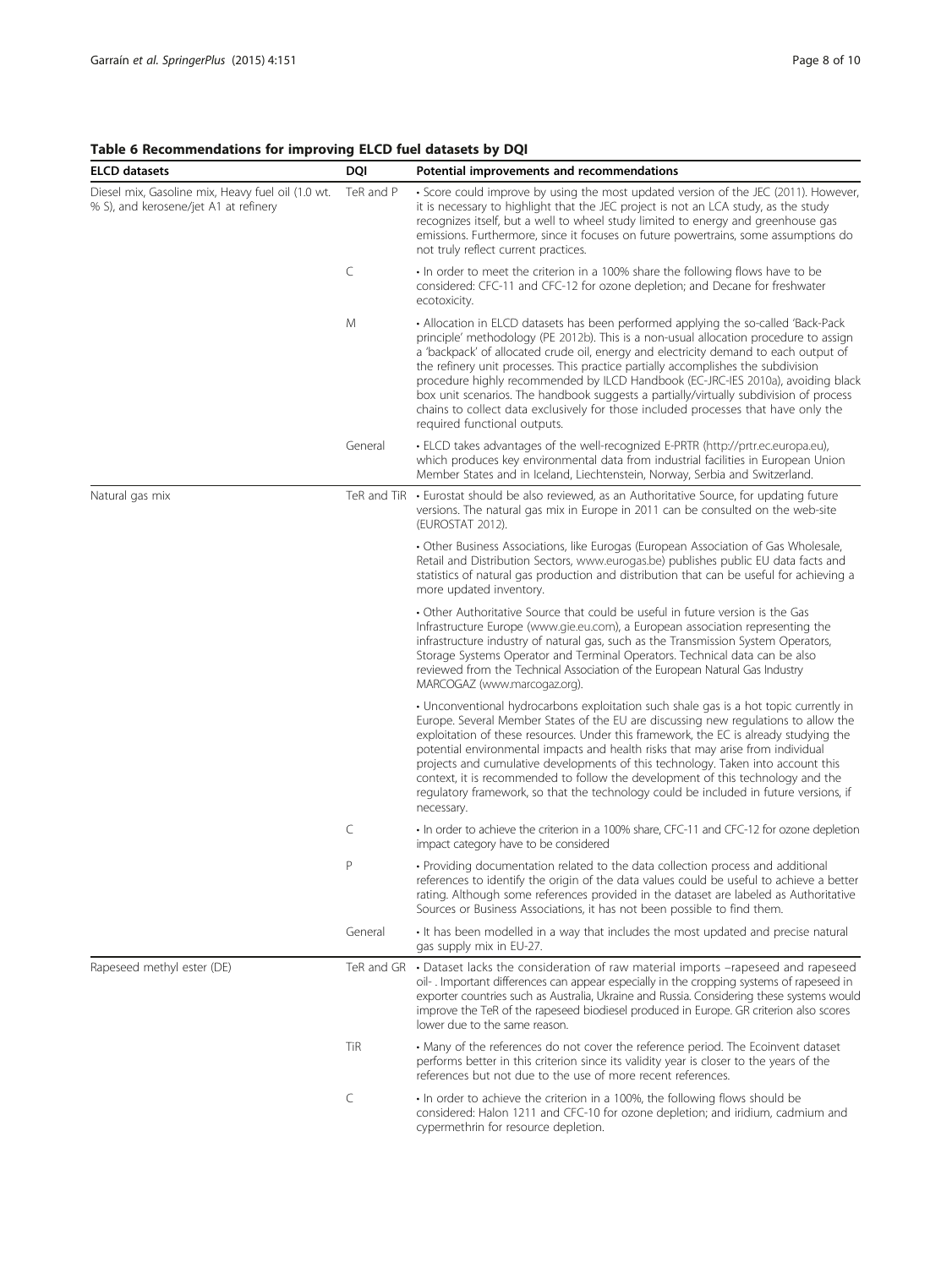## <span id="page-7-0"></span>Table 6 Recommendations for improving ELCD fuel datasets by DQI

| <b>ELCD</b> datasets                                                                       | <b>DQI</b> | Potential improvements and recommendations                                                                                                                                                                                                                                                                                                                                                                                                                                                                                                                                                                                                                   |
|--------------------------------------------------------------------------------------------|------------|--------------------------------------------------------------------------------------------------------------------------------------------------------------------------------------------------------------------------------------------------------------------------------------------------------------------------------------------------------------------------------------------------------------------------------------------------------------------------------------------------------------------------------------------------------------------------------------------------------------------------------------------------------------|
| Diesel mix, Gasoline mix, Heavy fuel oil (1.0 wt.<br>% S), and kerosene/jet A1 at refinery | TeR and P  | • Score could improve by using the most updated version of the JEC (2011). However,<br>it is necessary to highlight that the JEC project is not an LCA study, as the study<br>recognizes itself, but a well to wheel study limited to energy and greenhouse gas<br>emissions. Furthermore, since it focuses on future powertrains, some assumptions do<br>not truly reflect current practices.                                                                                                                                                                                                                                                               |
|                                                                                            | C          | • In order to meet the criterion in a 100% share the following flows have to be<br>considered: CFC-11 and CFC-12 for ozone depletion; and Decane for freshwater<br>ecotoxicity.                                                                                                                                                                                                                                                                                                                                                                                                                                                                              |
|                                                                                            | M          | • Allocation in ELCD datasets has been performed applying the so-called 'Back-Pack<br>principle' methodology (PE 2012b). This is a non-usual allocation procedure to assign<br>a 'backpack' of allocated crude oil, energy and electricity demand to each output of<br>the refinery unit processes. This practice partially accomplishes the subdivision<br>procedure highly recommended by ILCD Handbook (EC-JRC-IES 2010a), avoiding black<br>box unit scenarios. The handbook suggests a partially/virtually subdivision of process<br>chains to collect data exclusively for those included processes that have only the<br>required functional outputs. |
|                                                                                            | General    | • ELCD takes advantages of the well-recognized E-PRTR (http://prtr.ec.europa.eu),<br>which produces key environmental data from industrial facilities in European Union<br>Member States and in Iceland, Liechtenstein, Norway, Serbia and Switzerland.                                                                                                                                                                                                                                                                                                                                                                                                      |
| Natural gas mix                                                                            |            | TeR and TiR $\cdot$ Eurostat should be also reviewed, as an Authoritative Source, for updating future<br>versions. The natural gas mix in Europe in 2011 can be consulted on the web-site<br>(EUROSTAT 2012).                                                                                                                                                                                                                                                                                                                                                                                                                                                |
|                                                                                            |            | • Other Business Associations, like Eurogas (European Association of Gas Wholesale,<br>Retail and Distribution Sectors, www.eurogas.be) publishes public EU data facts and<br>statistics of natural gas production and distribution that can be useful for achieving a<br>more updated inventory.                                                                                                                                                                                                                                                                                                                                                            |
|                                                                                            |            | • Other Authoritative Source that could be useful in future version is the Gas<br>Infrastructure Europe (www.gie.eu.com), a European association representing the<br>infrastructure industry of natural gas, such as the Transmission System Operators,<br>Storage Systems Operator and Terminal Operators. Technical data can be also<br>reviewed from the Technical Association of the European Natural Gas Industry<br>MARCOGAZ (www.marcogaz.org).                                                                                                                                                                                                       |
|                                                                                            |            | • Unconventional hydrocarbons exploitation such shale gas is a hot topic currently in<br>Europe. Several Member States of the EU are discussing new regulations to allow the<br>exploitation of these resources. Under this framework, the EC is already studying the<br>potential environmental impacts and health risks that may arise from individual<br>projects and cumulative developments of this technology. Taken into account this<br>context, it is recommended to follow the development of this technology and the<br>regulatory framework, so that the technology could be included in future versions, if<br>necessary.                       |
|                                                                                            | C          | • In order to achieve the criterion in a 100% share, CFC-11 and CFC-12 for ozone depletion<br>impact category have to be considered                                                                                                                                                                                                                                                                                                                                                                                                                                                                                                                          |
|                                                                                            | P          | • Providing documentation related to the data collection process and additional<br>references to identify the origin of the data values could be useful to achieve a better<br>rating. Although some references provided in the dataset are labeled as Authoritative<br>Sources or Business Associations, it has not been possible to find them.                                                                                                                                                                                                                                                                                                             |
|                                                                                            | General    | It has been modelled in a way that includes the most updated and precise natural<br>gas supply mix in EU-27.                                                                                                                                                                                                                                                                                                                                                                                                                                                                                                                                                 |
| Rapeseed methyl ester (DE)                                                                 |            | TeR and GR • Dataset lacks the consideration of raw material imports -rapeseed and rapeseed<br>oil-. Important differences can appear especially in the cropping systems of rapeseed in<br>exporter countries such as Australia, Ukraine and Russia. Considering these systems would<br>improve the TeR of the rapeseed biodiesel produced in Europe. GR criterion also scores<br>lower due to the same reason.                                                                                                                                                                                                                                              |
|                                                                                            | TiR        | • Many of the references do not cover the reference period. The Ecoinvent dataset<br>performs better in this criterion since its validity year is closer to the years of the<br>references but not due to the use of more recent references.                                                                                                                                                                                                                                                                                                                                                                                                                 |
|                                                                                            | C          | • In order to achieve the criterion in a 100%, the following flows should be<br>considered: Halon 1211 and CFC-10 for ozone depletion; and iridium, cadmium and<br>cypermethrin for resource depletion.                                                                                                                                                                                                                                                                                                                                                                                                                                                      |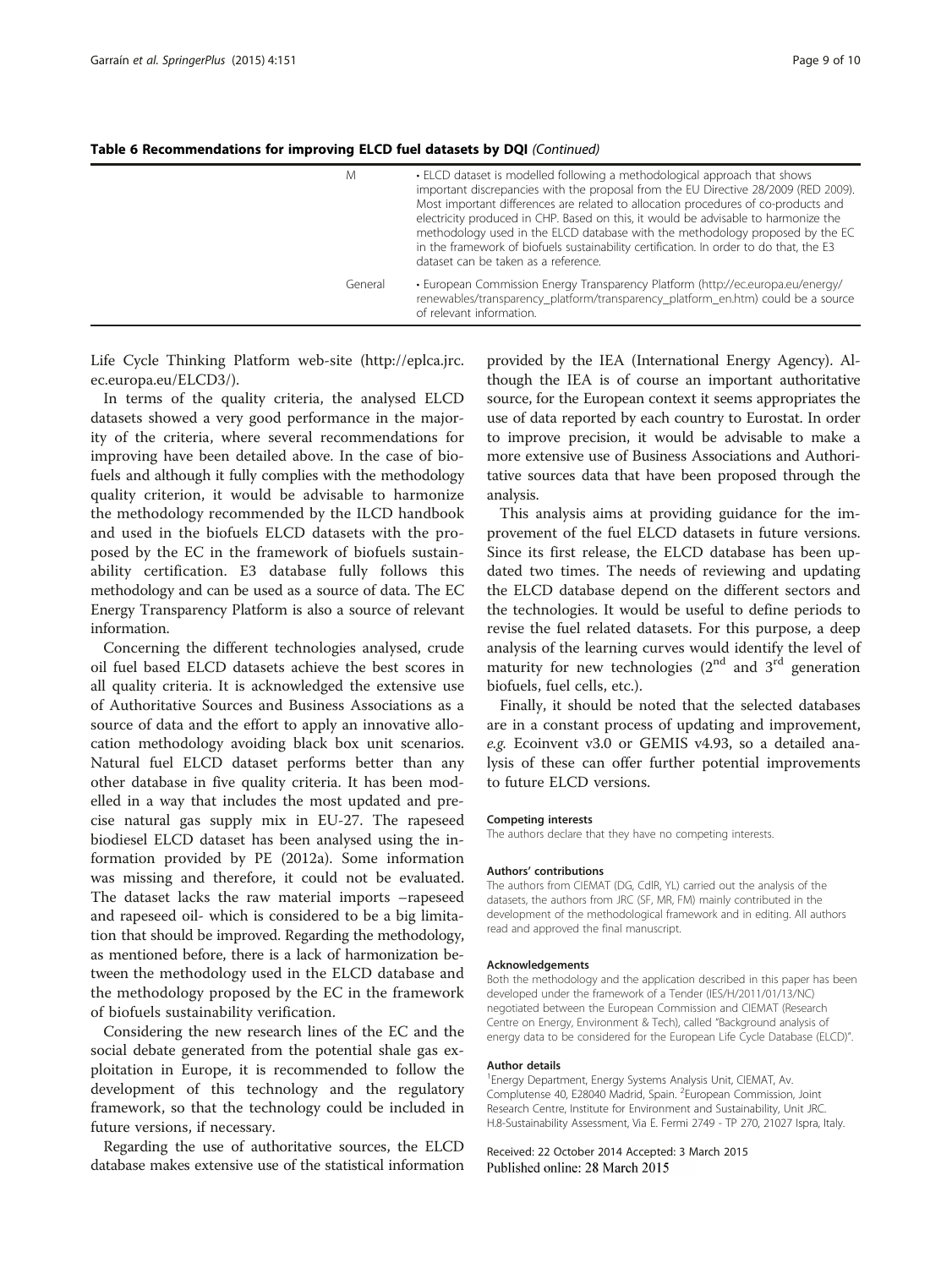|  |  | Table 6 Recommendations for improving ELCD fuel datasets by DQI (Continued) |  |  |  |  |  |  |  |  |  |  |
|--|--|-----------------------------------------------------------------------------|--|--|--|--|--|--|--|--|--|--|
|--|--|-----------------------------------------------------------------------------|--|--|--|--|--|--|--|--|--|--|

| M       | . ELCD dataset is modelled following a methodological approach that shows<br>important discrepancies with the proposal from the EU Directive 28/2009 (RED 2009).<br>Most important differences are related to allocation procedures of co-products and<br>electricity produced in CHP. Based on this, it would be advisable to harmonize the<br>methodology used in the ELCD database with the methodology proposed by the EC<br>in the framework of biofuels sustainability certification. In order to do that, the E3<br>dataset can be taken as a reference. |
|---------|-----------------------------------------------------------------------------------------------------------------------------------------------------------------------------------------------------------------------------------------------------------------------------------------------------------------------------------------------------------------------------------------------------------------------------------------------------------------------------------------------------------------------------------------------------------------|
| General | • European Commission Energy Transparency Platform (http://ec.europa.eu/energy/<br>renewables/transparency platform/transparency platform en.htm) could be a source<br>of relevant information.                                                                                                                                                                                                                                                                                                                                                                 |

Life Cycle Thinking Platform web-site ([http://eplca.jrc.](http://eplca.jrc.ec.europa.eu/ELCD3/) [ec.europa.eu/ELCD3/\)](http://eplca.jrc.ec.europa.eu/ELCD3/).

In terms of the quality criteria, the analysed ELCD datasets showed a very good performance in the majority of the criteria, where several recommendations for improving have been detailed above. In the case of biofuels and although it fully complies with the methodology quality criterion, it would be advisable to harmonize the methodology recommended by the ILCD handbook and used in the biofuels ELCD datasets with the proposed by the EC in the framework of biofuels sustainability certification. E3 database fully follows this methodology and can be used as a source of data. The EC Energy Transparency Platform is also a source of relevant information.

Concerning the different technologies analysed, crude oil fuel based ELCD datasets achieve the best scores in all quality criteria. It is acknowledged the extensive use of Authoritative Sources and Business Associations as a source of data and the effort to apply an innovative allocation methodology avoiding black box unit scenarios. Natural fuel ELCD dataset performs better than any other database in five quality criteria. It has been modelled in a way that includes the most updated and precise natural gas supply mix in EU-27. The rapeseed biodiesel ELCD dataset has been analysed using the information provided by PE ([2012a\)](#page-9-0). Some information was missing and therefore, it could not be evaluated. The dataset lacks the raw material imports –rapeseed and rapeseed oil- which is considered to be a big limitation that should be improved. Regarding the methodology, as mentioned before, there is a lack of harmonization between the methodology used in the ELCD database and the methodology proposed by the EC in the framework of biofuels sustainability verification.

Considering the new research lines of the EC and the social debate generated from the potential shale gas exploitation in Europe, it is recommended to follow the development of this technology and the regulatory framework, so that the technology could be included in future versions, if necessary.

Regarding the use of authoritative sources, the ELCD database makes extensive use of the statistical information provided by the IEA (International Energy Agency). Although the IEA is of course an important authoritative source, for the European context it seems appropriates the use of data reported by each country to Eurostat. In order to improve precision, it would be advisable to make a more extensive use of Business Associations and Authoritative sources data that have been proposed through the analysis.

This analysis aims at providing guidance for the improvement of the fuel ELCD datasets in future versions. Since its first release, the ELCD database has been updated two times. The needs of reviewing and updating the ELCD database depend on the different sectors and the technologies. It would be useful to define periods to revise the fuel related datasets. For this purpose, a deep analysis of the learning curves would identify the level of maturity for new technologies  $(2<sup>nd</sup>$  and  $3<sup>rd</sup>$  generation biofuels, fuel cells, etc.).

Finally, it should be noted that the selected databases are in a constant process of updating and improvement, e.g. Ecoinvent v3.0 or GEMIS v4.93, so a detailed analysis of these can offer further potential improvements to future ELCD versions.

#### Competing interests

The authors declare that they have no competing interests.

#### Authors' contributions

The authors from CIEMAT (DG, CdlR, YL) carried out the analysis of the datasets, the authors from JRC (SF, MR, FM) mainly contributed in the development of the methodological framework and in editing. All authors read and approved the final manuscript.

#### Acknowledgements

Both the methodology and the application described in this paper has been developed under the framework of a Tender (IES/H/2011/01/13/NC) negotiated between the European Commission and CIEMAT (Research Centre on Energy, Environment & Tech), called "Background analysis of energy data to be considered for the European Life Cycle Database (ELCD)".

#### Author details

<sup>1</sup> Energy Department, Energy Systems Analysis Unit, CIEMAT, Av. Complutense 40, E28040 Madrid, Spain. <sup>2</sup>European Commission, Joint Research Centre, Institute for Environment and Sustainability, Unit JRC. H.8-Sustainability Assessment, Via E. Fermi 2749 - TP 270, 21027 Ispra, Italy.

Received: 22 October 2014 Accepted: 3 March 2015 Published online: 28 March 2015